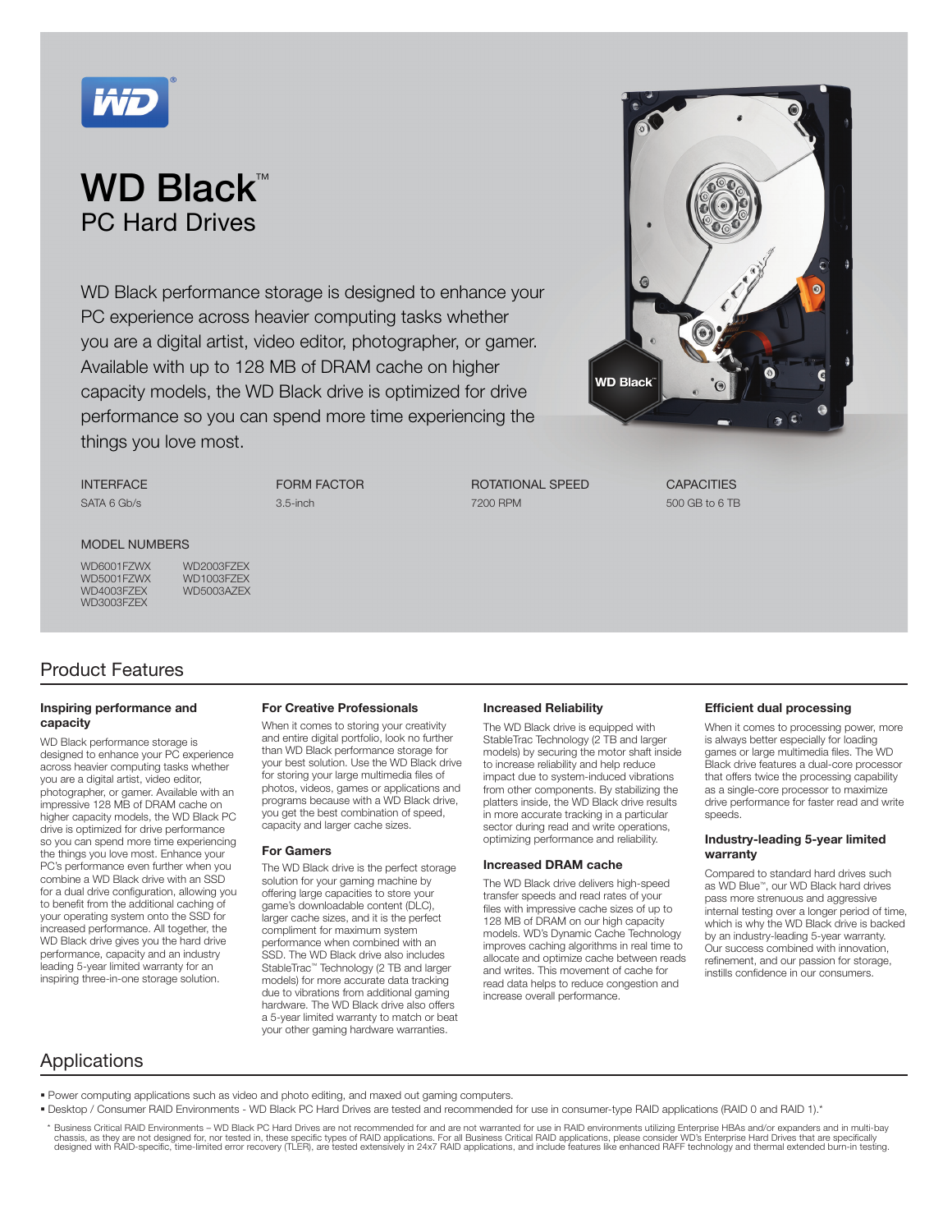

## WD Black™ PC Hard Drives

WD Black performance storage is designed to enhance your PC experience across heavier computing tasks whether you are a digital artist, video editor, photographer, or gamer. Available with up to 128 MB of DRAM cache on higher capacity models, the WD Black drive is optimized for drive performance so you can spend more time experiencing the things you love most.

INTERFACE SATA 6 Gb/s

FORM FACTOR 3.5-inch

ROTATIONAL SPEED 7200 RPM



**CAPACITIES** 500 GB to 6 TB

#### MODEL NUMBERS

WD5001FZWX<br>WD4003FZEX WD3003FZEX

WD6001FZWX WD2003FZEX<br>WD5001FZWX WD1003FZEX WD5003AZEX

### Product Features

#### Inspiring performance and capacity

WD Black performance storage is designed to enhance your PC experience across heavier computing tasks whether you are a digital artist, video editor, photographer, or gamer. Available with an impressive 128 MB of DRAM cache on higher capacity models, the WD Black PC drive is optimized for drive performance so you can spend more time experiencing the things you love most. Enhance your PC's performance even further when you combine a WD Black drive with an SSD for a dual drive configuration, allowing you to benefit from the additional caching of your operating system onto the SSD for increased performance. All together, the WD Black drive gives you the hard drive performance, capacity and an industry leading 5-year limited warranty for an inspiring three-in-one storage solution.

#### For Creative Professionals

When it comes to storing your creativity and entire digital portfolio, look no further than WD Black performance storage for your best solution. Use the WD Black drive for storing your large multimedia files of photos, videos, games or applications and programs because with a WD Black drive, you get the best combination of speed, capacity and larger cache sizes.

#### For Gamers

The WD Black drive is the perfect storage solution for your gaming machine by offering large capacities to store your game's downloadable content (DLC), larger cache sizes, and it is the perfect compliment for maximum system performance when combined with an SSD. The WD Black drive also includes StableTrac™ Technology (2 TB and larger models) for more accurate data tracking due to vibrations from additional gaming hardware. The WD Black drive also offers a 5-year limited warranty to match or beat your other gaming hardware warranties.

#### Increased Reliability

The WD Black drive is equipped with StableTrac Technology (2 TB and larger models) by securing the motor shaft inside to increase reliability and help reduce impact due to system-induced vibrations from other components. By stabilizing the platters inside, the WD Black drive results in more accurate tracking in a particular sector during read and write operations, optimizing performance and reliability.

#### Increased DRAM cache

The WD Black drive delivers high-speed transfer speeds and read rates of your files with impressive cache sizes of up to 128 MB of DRAM on our high capacity models. WD's Dynamic Cache Technology improves caching algorithms in real time to allocate and optimize cache between reads and writes. This movement of cache for read data helps to reduce congestion and increase overall performance.

#### Efficient dual processing

When it comes to processing power, more is always better especially for loading games or large multimedia files. The WD Black drive features a dual-core processor that offers twice the processing capability as a single-core processor to maximize drive performance for faster read and write speeds.

#### Industry-leading 5-year limited warranty

Compared to standard hard drives such as WD Blue™, our WD Black hard drives pass more strenuous and aggressive internal testing over a longer period of time, which is why the WD Black drive is backed by an industry-leading 5-year warranty. Our success combined with innovation, refinement, and our passion for storage, instills confidence in our consumers.

### Applications

Power computing applications such as video and photo editing, and maxed out gaming computers.

- . Desktop / Consumer RAID Environments WD Black PC Hard Drives are tested and recommended for use in consumer-type RAID applications (RAID 0 and RAID 1).\*
- \* Business Critical RAID Environments WD Black PC Hard Drives are not recommended for and are not warranted for use in RAID environments utilizing Enterprise HBAs and/or expanders and in multi-bay<br>chassis, as they are no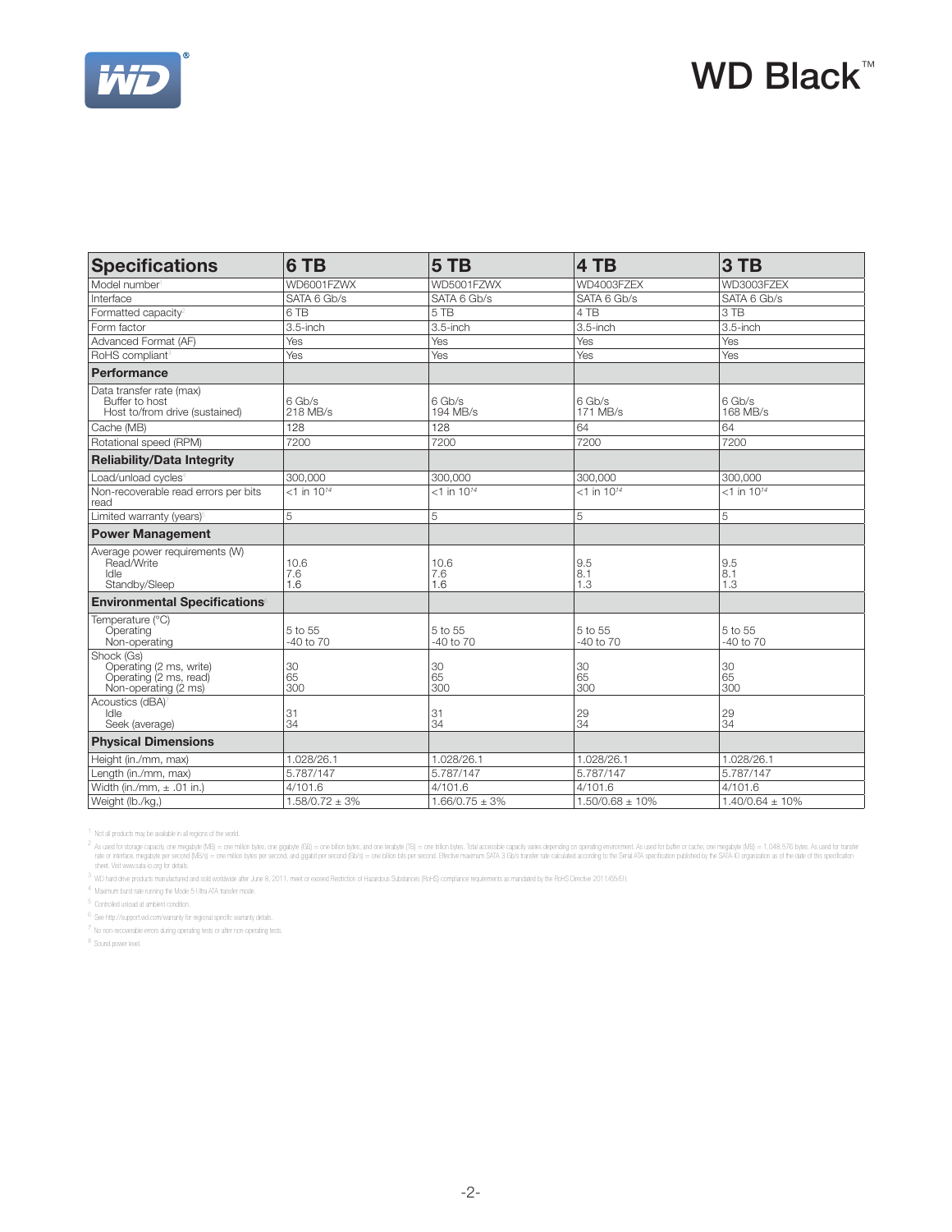

# WD Black<sup>™</sup>

| <b>Specifications</b>                                                                   | 6 TB                      | 5TB                       | 4 TB                      | 3 TB                      |
|-----------------------------------------------------------------------------------------|---------------------------|---------------------------|---------------------------|---------------------------|
| Model number                                                                            | WD6001FZWX                | WD5001FZWX                | WD4003FZFX                | WD3003FZEX                |
| Interface                                                                               | SATA 6 Gb/s               | SATA 6 Gb/s               | SATA 6 Gb/s               | SATA 6 Gb/s               |
| Formatted capacity <sup>2</sup>                                                         | 6 TB                      | 5TB                       | 4 TB                      | 3 TB                      |
| Form factor                                                                             | $3.5$ -inch               | 3.5-inch                  | 3.5-inch                  | $3.5$ -inch               |
| Advanced Format (AF)                                                                    | Yes                       | Yes                       | Yes                       | Yes                       |
| RoHS compliant <sup>3</sup>                                                             | Yes                       | Yes                       | Yes                       | Yes                       |
| Performance                                                                             |                           |                           |                           |                           |
| Data transfer rate (max)<br>Buffer to host<br>Host to/from drive (sustained)            | 6 Gb/s<br>218 MB/s        | 6 Gb/s<br>194 MB/s        | 6 Gb/s<br>171 MB/s        | 6 Gb/s<br>168 MB/s        |
| Cache (MB)                                                                              | 128                       | 128                       | 64                        | 64                        |
| Rotational speed (RPM)                                                                  | 7200                      | 7200                      | 7200                      | 7200                      |
| <b>Reliability/Data Integrity</b>                                                       |                           |                           |                           |                           |
| Load/unload cycles <sup>4</sup>                                                         | 300,000                   | 300,000                   | 300,000                   | 300,000                   |
| Non-recoverable read errors per bits<br>read                                            | $<$ 1 in 10 <sup>14</sup> | $<$ 1 in 10 <sup>14</sup> | $<$ 1 in 10 <sup>14</sup> | $<$ 1 in 10 <sup>14</sup> |
| Limited warranty (years) <sup>5</sup>                                                   | 5                         | 5                         | 5                         | 5                         |
| <b>Power Management</b>                                                                 |                           |                           |                           |                           |
| Average power requirements (W)<br>Read/Write<br>Idle<br>Standby/Sleep                   | 10.6<br>7.6<br>1.6        | 10.6<br>7.6<br>1.6        | 9.5<br>8.1<br>1.3         | 9.5<br>8.1<br>1.3         |
| <b>Environmental Specifications®</b>                                                    |                           |                           |                           |                           |
| Temperature (°C)<br>Operating<br>Non-operating                                          | 5 to 55<br>$-40$ to $70$  | 5 to 55<br>-40 to 70      | 5 to 55<br>-40 to 70      | 5 to 55<br>-40 to 70      |
| Shock (Gs)<br>Operating (2 ms, write)<br>Operating (2 ms, read)<br>Non-operating (2 ms) | 30<br>65<br>300           | 30<br>65<br>300           | 30<br>65<br>300           | 30<br>65<br>300           |
| Acoustics (dBA) <sup>7</sup><br>Idle<br>Seek (average)                                  | 31<br>34                  | 31<br>34                  | 29<br>34                  | 29<br>34                  |
| <b>Physical Dimensions</b>                                                              |                           |                           |                           |                           |
| Height (in./mm, max)                                                                    | 1.028/26.1                | 1.028/26.1                | 1.028/26.1                | 1.028/26.1                |
| Length (in./mm, max)                                                                    | 5.787/147                 | 5.787/147                 | 5.787/147                 | 5.787/147                 |
| Width (in./mm, $\pm$ .01 in.)                                                           | 4/101.6                   | 4/101.6                   | 4/101.6                   | 4/101.6                   |
| Weight (lb./kg,)                                                                        | $1.58/0.72 \pm 3%$        | $1.66/0.75 \pm 3\%$       | $1.50/0.68 \pm 10\%$      | $1.40/0.64 \pm 10\%$      |

<sup>1</sup> Not all products may be available in all regions of the world.

<sup>2</sup> As used for storage agach); one mapply@ (MB) = one million bytes, and metable mapply the metable (TB) = one trillion bytes, and one tradefully and a state accords of particle particle and the second of the second of th

<sup>3</sup> WD hard drive products manufactured and sold worldwide after June 8, 2011, meet or exceed Restriction of Hazardous Substances (RoHS) compliance requirements as mandated by the RoHS Directive 2011/65/EU.

4 Maximum burst rate running the Mode 5 Ultra ATA transfer mode.

5 Controlled unload at ambient condition.

 $^6$  See http://support.wd.com/warranty for regional specific warranty details.

 $7$  No non-recoverable errors during operating tests or after non-operating tests.

8 Sound power level.